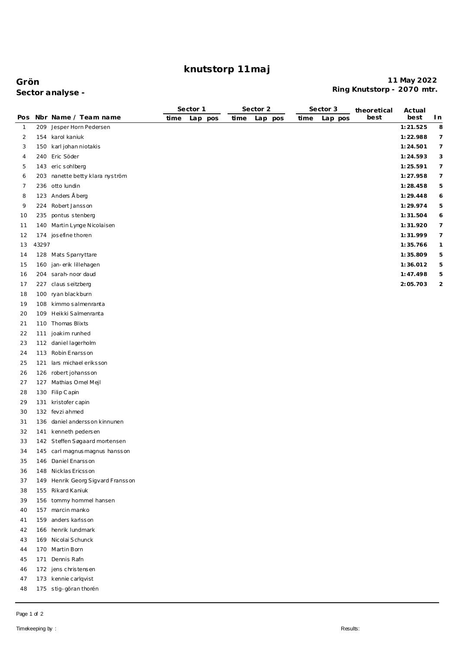# **knutstorp 11maj**

### **Grön 11 May 2022 Ring Knutstorp - 2070 mtr. Sector analyse -**

|                |       |                                   |      | Sector 1 |      | Sector 2 | Sector 3 |         | theoretical | Actual   |                |
|----------------|-------|-----------------------------------|------|----------|------|----------|----------|---------|-------------|----------|----------------|
| Pos            |       | Nbr Name / Team name              | time | Lap pos  | time | Lap pos  | time     | Lap pos | best        | best     | I n            |
| $\mathbf{1}$   | 209   | Jesper Horn Pedersen              |      |          |      |          |          |         |             | 1:21.525 | 8              |
| $\overline{2}$ |       | 154 karol kaniuk                  |      |          |      |          |          |         |             | 1:22.988 | 7              |
| 3              |       | 150 karl johan niotakis           |      |          |      |          |          |         |             | 1:24.501 | 7              |
| 4              |       | 240 Eric Söder                    |      |          |      |          |          |         |             | 1:24.593 | 3              |
| 5              |       | 143 eric sohlberg                 |      |          |      |          |          |         |             | 1:25.591 | 7              |
| 6              |       | 203 nanette betty klara nyström   |      |          |      |          |          |         |             | 1:27.958 | 7              |
| 7              |       | 236 otto lundin                   |      |          |      |          |          |         |             | 1:28.458 | 5              |
| 8              |       | 123 Anders Åberg                  |      |          |      |          |          |         |             | 1:29.448 | 6              |
| 9              |       | 224 Robert Jansson                |      |          |      |          |          |         |             | 1:29.974 | 5              |
| 10             | 235   | pontus stenberg                   |      |          |      |          |          |         |             | 1:31.504 | 6              |
| 11             |       | 140 Martin Lynge Nicolaisen       |      |          |      |          |          |         |             | 1:31.920 | 7              |
| 12             |       | 174 josefine thoren               |      |          |      |          |          |         |             | 1:31.999 | 7              |
| 13             | 43297 |                                   |      |          |      |          |          |         |             | 1:35.766 | 1              |
| 14             |       | 128 Mats Sparryttare              |      |          |      |          |          |         |             | 1:35.809 | 5              |
| 15             | 160   | jan-erik lillehagen               |      |          |      |          |          |         |             | 1:36.012 | 5              |
| 16             |       | 204 sarah-noor daud               |      |          |      |          |          |         |             | 1:47.498 | 5              |
| 17             |       | 227 claus seitzberg               |      |          |      |          |          |         |             | 2:05.703 | $\overline{c}$ |
| 18             |       | 100 ryan blackburn                |      |          |      |          |          |         |             |          |                |
| 19             |       | 108 kimmo salmenranta             |      |          |      |          |          |         |             |          |                |
| 20             |       | 109 Heikki Salmenranta            |      |          |      |          |          |         |             |          |                |
| 21             |       | 110 Thomas Blixts                 |      |          |      |          |          |         |             |          |                |
| 22             | 111   | joakim runhed                     |      |          |      |          |          |         |             |          |                |
| 23             |       | 112 daniel lagerholm              |      |          |      |          |          |         |             |          |                |
| 24             |       | 113 Robin Enarsson                |      |          |      |          |          |         |             |          |                |
| 25             |       | 121 lars michael eriksson         |      |          |      |          |          |         |             |          |                |
| 26             |       | 126 robert johansson              |      |          |      |          |          |         |             |          |                |
| 27             |       | 127 Mathias Omel Mejl             |      |          |      |          |          |         |             |          |                |
| 28             |       | 130 Filip Capin                   |      |          |      |          |          |         |             |          |                |
| 29             |       | 131 kristofer capin               |      |          |      |          |          |         |             |          |                |
| 30             |       | 132 fevzi ahmed                   |      |          |      |          |          |         |             |          |                |
| 31             |       | 136 daniel andersson kinnunen     |      |          |      |          |          |         |             |          |                |
| 32             |       | 141 kenneth pedersen              |      |          |      |          |          |         |             |          |                |
| 33             |       | 142 Steffen Søgaard mortensen     |      |          |      |          |          |         |             |          |                |
| 34             |       | 145 carl magnus magnus hansson    |      |          |      |          |          |         |             |          |                |
| 35             |       | 146 Daniel Enarsson               |      |          |      |          |          |         |             |          |                |
| 36             |       | 148 Nicklas Ericsson              |      |          |      |          |          |         |             |          |                |
| 37             |       | 149 Henrik Georg Sigvard Fransson |      |          |      |          |          |         |             |          |                |
| 38             |       | 155 Rikard Kaniuk                 |      |          |      |          |          |         |             |          |                |
| 39             |       | 156 tommy hommel hansen           |      |          |      |          |          |         |             |          |                |
| 40             |       | 157 marcin manko                  |      |          |      |          |          |         |             |          |                |
| 41             |       | 159 anders karlsson               |      |          |      |          |          |         |             |          |                |
| 42             |       | 166 henrik lundmark               |      |          |      |          |          |         |             |          |                |
| 43             |       | 169 Nicolai Schunck               |      |          |      |          |          |         |             |          |                |
| 44             |       | 170 Martin Born                   |      |          |      |          |          |         |             |          |                |
| 45             |       | 171 Dennis Rafn                   |      |          |      |          |          |         |             |          |                |
| 46             |       | 172 jens christensen              |      |          |      |          |          |         |             |          |                |
| 47             |       | 173 kennie carlqvist              |      |          |      |          |          |         |             |          |                |
| 48             |       | 175 stig-göran thorén             |      |          |      |          |          |         |             |          |                |